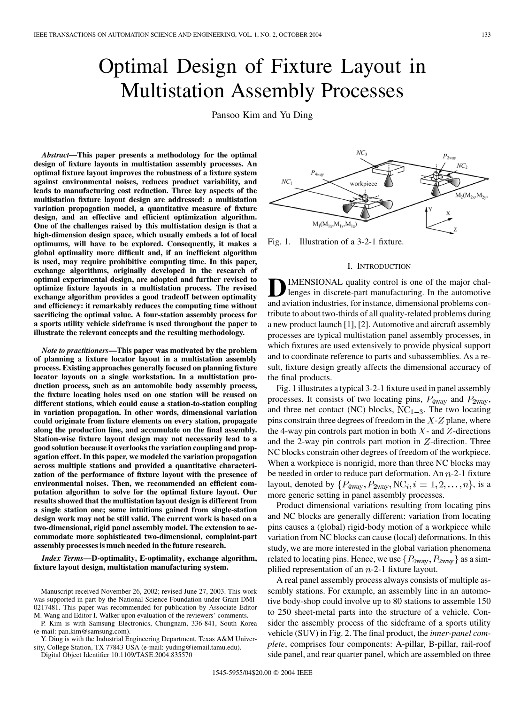# Optimal Design of Fixture Layout in Multistation Assembly Processes

Pansoo Kim and Yu Ding

*Abstract—***This paper presents a methodology for the optimal design of fixture layouts in multistation assembly processes. An optimal fixture layout improves the robustness of a fixture system against environmental noises, reduces product variability, and leads to manufacturing cost reduction. Three key aspects of the multistation fixture layout design are addressed: a multistation variation propagation model, a quantitative measure of fixture design, and an effective and efficient optimization algorithm. One of the challenges raised by this multistation design is that a high-dimension design space, which usually embeds a lot of local optimums, will have to be explored. Consequently, it makes a global optimality more difficult and, if an inefficient algorithm is used, may require prohibitive computing time. In this paper, exchange algorithms, originally developed in the research of optimal experimental design, are adopted and further revised to optimize fixture layouts in a multistation process. The revised exchange algorithm provides a good tradeoff between optimality and efficiency: it remarkably reduces the computing time without sacrificing the optimal value. A four-station assembly process for a sports utility vehicle sideframe is used throughout the paper to illustrate the relevant concepts and the resulting methodology.**

*Note to practitioners***—This paper was motivated by the problem of planning a fixture locator layout in a multistation assembly process. Existing approaches generally focused on planning fixture locator layouts on a single workstation. In a multistation production process, such as an automobile body assembly process, the fixture locating holes used on one station will be reused on different stations, which could cause a station-to-station coupling in variation propagation. In other words, dimensional variation could originate from fixture elements on every station, propagate along the production line, and accumulate on the final assembly. Station-wise fixture layout design may not necessarily lead to a good solution because it overlooks the variation coupling and propagation effect. In this paper, we modeled the variation propagation across multiple stations and provided a quantitative characterization of the performance of fixture layout with the presence of environmental noises. Then, we recommended an efficient computation algorithm to solve for the optimal fixture layout. Our results showed that the multistation layout design is different from a single station one; some intuitions gained from single-station design work may not be still valid. The current work is based on a two-dimensional, rigid panel assembly model. The extension to accommodate more sophisticated two-dimensional, complaint-part assembly processes is much needed in the future research.**

*Index Terms—***D-optimality, E-optimality, exchange algorithm, fixture layout design, multistation manufacturing system.**

P. Kim is with Samsung Electronics, Chungnam, 336-841, South Korea (e-mail: pan.kim@samsung.com).

Y. Ding is with the Industrial Engineering Department, Texas A&M University, College Station, TX 77843 USA (e-mail: yuding@iemail.tamu.edu).

Digital Object Identifier 10.1109/TASE.2004.835570



Fig. 1. Illustration of a 3-2-1 fixture.

#### I. INTRODUCTION

**D**IMENSIONAL quality control is one of the major challenges in discrete-part manufacturing. In the automotive and aviation industries, for instance, dimensional problems contribute to about two-thirds of all quality-related problems during a new product launch [\[1](#page-11-0)], [\[2](#page-11-0)]. Automotive and aircraft assembly processes are typical multistation panel assembly processes, in which fixtures are used extensively to provide physical support and to coordinate reference to parts and subassemblies. As a result, fixture design greatly affects the dimensional accuracy of the final products.

Fig. 1 illustrates a typical 3-2-1 fixture used in panel assembly processes. It consists of two locating pins,  $P_{4\text{way}}$  and  $P_{2\text{way}}$ , and three net contact (NC) blocks,  $NC_{1-3}$ . The two locating pins constrain three degrees of freedom in the  $X$ - $Z$  plane, where the 4-way pin controls part motion in both  $X$ - and  $Z$ -directions and the 2-way pin controls part motion in  $Z$ -direction. Three NC blocks constrain other degrees of freedom of the workpiece. When a workpiece is nonrigid, more than three NC blocks may be needed in order to reduce part deformation. An  $n-2-1$  fixture layout, denoted by  $\{P_{4\text{way}}, P_{2\text{way}}, \text{NC}_i, i = 1, 2, \dots, n\}$ , is a more generic setting in panel assembly processes.

Product dimensional variations resulting from locating pins and NC blocks are generally different: variation from locating pins causes a (global) rigid-body motion of a workpiece while variation from NC blocks can cause (local) deformations. In this study, we are more interested in the global variation phenomena related to locating pins. Hence, we use  $\{P_{4\text{way}}, P_{2\text{way}}\}$  as a simplified representation of an  $n-2-1$  fixture layout.

A real panel assembly process always consists of multiple assembly stations. For example, an assembly line in an automotive body-shop could involve up to 80 stations to assemble 150 to 250 sheet-metal parts into the structure of a vehicle. Consider the assembly process of the sideframe of a sports utility vehicle (SUV) in Fig. 2. The final product, the *inner-panel complete*, comprises four components: A-pillar, B-pillar, rail-roof side panel, and rear quarter panel, which are assembled on three

Manuscript received November 26, 2002; revised June 27, 2003. This work was supported in part by the National Science Foundation under Grant DMI-0217481. This paper was recommended for publication by Associate Editor M. Wang and Editor I. Walker upon evaluation of the reviewers' comments.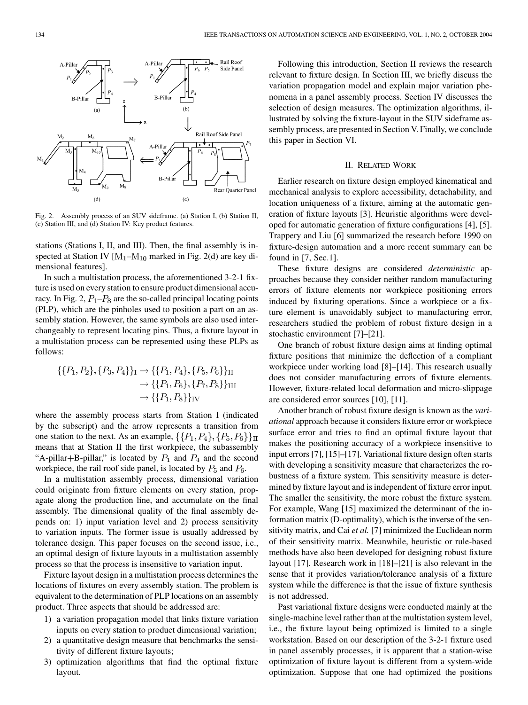

Fig. 2. Assembly process of an SUV sideframe. (a) Station I, (b) Station II, (c) Station III, and (d) Station IV: Key product features.

stations (Stations I, II, and III). Then, the final assembly is inspected at Station IV  $[M_1-M_{10}$  marked in Fig. 2(d) are key dimensional features].

In such a multistation process, the aforementioned 3-2-1 fixture is used on every station to ensure product dimensional accuracy. In Fig. 2,  $P_1 - P_8$  are the so-called principal locating points (PLP), which are the pinholes used to position a part on an assembly station. However, the same symbols are also used interchangeably to represent locating pins. Thus, a fixture layout in a multistation process can be represented using these PLPs as follows:

$$
\{\{P_1, P_2\}, \{P_3, P_4\}\}_\text{I} \rightarrow \{\{P_1, P_4\}, \{P_5, P_6\}\}_\text{II}
$$

$$
\rightarrow \{\{P_1, P_6\}, \{P_7, P_8\}\}_\text{III}
$$

$$
\rightarrow \{\{P_1, P_8\}\}_\text{IV}
$$

where the assembly process starts from Station I (indicated by the subscript) and the arrow represents a transition from one station to the next. As an example,  $\{\{P_1, P_4\}, \{P_5, P_6\}\}\$ II means that at Station II the first workpiece, the subassembly "A-pillar+B-pillar," is located by  $P_1$  and  $P_4$  and the second workpiece, the rail roof side panel, is located by  $P_5$  and  $P_6$ .

In a multistation assembly process, dimensional variation could originate from fixture elements on every station, propagate along the production line, and accumulate on the final assembly. The dimensional quality of the final assembly depends on: 1) input variation level and 2) process sensitivity to variation inputs. The former issue is usually addressed by tolerance design. This paper focuses on the second issue, i.e., an optimal design of fixture layouts in a multistation assembly process so that the process is insensitive to variation input.

Fixture layout design in a multistation process determines the locations of fixtures on every assembly station. The problem is equivalent to the determination of PLP locations on an assembly product. Three aspects that should be addressed are:

- 1) a variation propagation model that links fixture variation inputs on every station to product dimensional variation;
- 2) a quantitative design measure that benchmarks the sensitivity of different fixture layouts;
- 3) optimization algorithms that find the optimal fixture layout.

Following this introduction, Section II reviews the research relevant to fixture design. In Section III, we briefly discuss the variation propagation model and explain major variation phenomena in a panel assembly process. Section IV discusses the selection of design measures. The optimization algorithms, illustrated by solving the fixture-layout in the SUV sideframe assembly process, are presented in Section V. Finally, we conclude this paper in Section VI.

### II. RELATED WORK

Earlier research on fixture design employed kinematical and mechanical analysis to explore accessibility, detachability, and location uniqueness of a fixture, aiming at the automatic generation of fixture layouts [\[3](#page-11-0)]. Heuristic algorithms were developed for automatic generation of fixture configurations [\[4](#page-11-0)], [[5\]](#page-11-0). Trappery and Liu [[6\]](#page-11-0) summarized the research before 1990 on fixture-design automation and a more recent summary can be found in [[7,](#page-11-0) Sec.1].

These fixture designs are considered *deterministic* approaches because they consider neither random manufacturing errors of fixture elements nor workpiece positioning errors induced by fixturing operations. Since a workpiece or a fixture element is unavoidably subject to manufacturing error, researchers studied the problem of robust fixture design in a stochastic environment [[7\]](#page-11-0)–[\[21](#page-11-0)].

One branch of robust fixture design aims at finding optimal fixture positions that minimize the deflection of a compliant workpiece under working load [\[8](#page-11-0)]–[\[14](#page-11-0)]. This research usually does not consider manufacturing errors of fixture elements. However, fixture-related local deformation and micro-slippage are considered error sources [\[10](#page-11-0)], [\[11](#page-11-0)].

Another branch of robust fixture design is known as the *variational* approach because it considers fixture error or workpiece surface error and tries to find an optimal fixture layout that makes the positioning accuracy of a workpiece insensitive to input errors [\[7](#page-11-0)], [\[15](#page-11-0)]–[\[17](#page-11-0)]. Variational fixture design often starts with developing a sensitivity measure that characterizes the robustness of a fixture system. This sensitivity measure is determined by fixture layout and is independent of fixture error input. The smaller the sensitivity, the more robust the fixture system. For example, Wang [\[15](#page-11-0)] maximized the determinant of the information matrix (D-optimality), which is the inverse of the sensitivity matrix, and Cai *et al.* [[7\]](#page-11-0) minimized the Euclidean norm of their sensitivity matrix. Meanwhile, heuristic or rule-based methods have also been developed for designing robust fixture layout [[17\]](#page-11-0). Research work in [[18\]](#page-11-0)–[\[21](#page-11-0)] is also relevant in the sense that it provides variation/tolerance analysis of a fixture system while the difference is that the issue of fixture synthesis is not addressed.

Past variational fixture designs were conducted mainly at the single-machine level rather than at the multistation system level, i.e., the fixture layout being optimized is limited to a single workstation. Based on our description of the 3-2-1 fixture used in panel assembly processes, it is apparent that a station-wise optimization of fixture layout is different from a system-wide optimization. Suppose that one had optimized the positions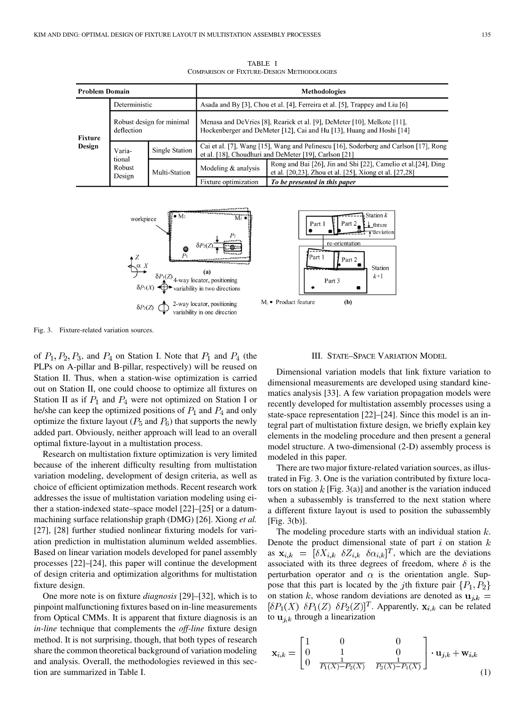| <b>Problem Domain</b>    |                                         |                       | Methodologies                                                                                                                                   |                                                                                                                          |  |  |
|--------------------------|-----------------------------------------|-----------------------|-------------------------------------------------------------------------------------------------------------------------------------------------|--------------------------------------------------------------------------------------------------------------------------|--|--|
| <b>Fixture</b><br>Design | Deterministic                           |                       | Asada and By [3], Chou et al. [4], Ferreira et al. [5], Trappey and Liu [6]                                                                     |                                                                                                                          |  |  |
|                          | Robust design for minimal<br>deflection |                       | Menasa and DeVries [8], Rearick et al. [9], DeMeter [10], Melkote [11],<br>Hockenberger and DeMeter [12], Cai and Hu [13], Huang and Hoshi [14] |                                                                                                                          |  |  |
|                          | Varia-<br>tional<br>Robust<br>Design    | <b>Single Station</b> | Cai et al. [7], Wang [15], Wang and Pelinescu [16], Soderberg and Carlson [17], Rong<br>et al. [18], Choudhuri and DeMeter [19], Carlson [21]   |                                                                                                                          |  |  |
|                          |                                         | Multi-Station         | Modeling $&$ analysis                                                                                                                           | Rong and Bai [26], Jin and Shi [22], Camelio et al. [24], Ding<br>et al. [20,23], Zhou et al. [25], Xiong et al. [27,28] |  |  |
|                          |                                         |                       | Fixture optimization                                                                                                                            | To be presented in this paper                                                                                            |  |  |

TABLE I COMPARISON OF FIXTURE-DESIGN METHODOLOGIES



Fig. 3. Fixture-related variation sources.

of  $P_1, P_2, P_3$ , and  $P_4$  on Station I. Note that  $P_1$  and  $P_4$  (the PLPs on A-pillar and B-pillar, respectively) will be reused on Station II. Thus, when a station-wise optimization is carried out on Station II, one could choose to optimize all fixtures on Station II as if  $P_1$  and  $P_4$  were not optimized on Station I or he/she can keep the optimized positions of  $P_1$  and  $P_4$  and only optimize the fixture layout ( $P_5$  and  $P_6$ ) that supports the newly added part. Obviously, neither approach will lead to an overall optimal fixture-layout in a multistation process.

Research on multistation fixture optimization is very limited because of the inherent difficulty resulting from multistation variation modeling, development of design criteria, as well as choice of efficient optimization methods. Recent research work addresses the issue of multistation variation modeling using either a station-indexed state–space model [[22\]](#page-11-0)–[\[25](#page-11-0)] or a datummachining surface relationship graph (DMG) [[26\]](#page-11-0). Xiong *et al.* [\[27](#page-11-0)], [\[28](#page-12-0)] further studied nonlinear fixturing models for variation prediction in multistation aluminum welded assemblies. Based on linear variation models developed for panel assembly processes [[22\]](#page-11-0)–[\[24](#page-11-0)], this paper will continue the development of design criteria and optimization algorithms for multistation fixture design.

One more note is on fixture *diagnosis* [\[29\]](#page-12-0)–[[32\]](#page-12-0), which is to pinpoint malfunctioning fixtures based on in-line measurements from Optical CMMs. It is apparent that fixture diagnosis is an *in-line* technique that complements the *off-line* fixture design method. It is not surprising, though, that both types of research share the common theoretical background of variation modeling and analysis. Overall, the methodologies reviewed in this section are summarized in Table I.

#### III. STATE–SPACE VARIATION MODEL

Dimensional variation models that link fixture variation to dimensional measurements are developed using standard kinematics analysis [[33\]](#page-12-0). A few variation propagation models were recently developed for multistation assembly processes using a state-space representation [[22\]](#page-11-0)–[[24\]](#page-11-0). Since this model is an integral part of multistation fixture design, we briefly explain key elements in the modeling procedure and then present a general model structure. A two-dimensional (2-D) assembly process is modeled in this paper.

There are two major fixture-related variation sources, as illustrated in Fig. 3. One is the variation contributed by fixture locators on station  $k$  [Fig. 3(a)] and another is the variation induced when a subassembly is transferred to the next station where a different fixture layout is used to position the subassembly [Fig. 3(b)].

The modeling procedure starts with an individual station  $k$ . Denote the product dimensional state of part  $i$  on station  $k$ as  $\mathbf{x}_{i,k} = [\delta X_{i,k} \ \delta Z_{i,k} \ \delta \alpha_{i,k}]^T$ , which are the deviations associated with its three degrees of freedom, where  $\delta$  is the perturbation operator and  $\alpha$  is the orientation angle. Suppose that this part is located by the jth fixture pair  $\{P_1, P_2\}$ on station k, whose random deviations are denoted as  $\mathbf{u}_{j,k} =$  $[\delta P_1(X) \ \delta P_1(Z) \ \delta P_2(Z)]^T$ . Apparently,  $\mathbf{x}_{i,k}$  can be related to  $\mathbf{u}_{i,k}$  through a linearization

$$
\mathbf{x}_{i,k} = \begin{bmatrix} 1 & 0 & 0 \\ 0 & 1 & 0 \\ 0 & \frac{1}{P_1(X) - P_2(X)} & \frac{1}{P_2(X) - P_1(X)} \end{bmatrix} \cdot \mathbf{u}_{j,k} + \mathbf{w}_{i,k}
$$
(1)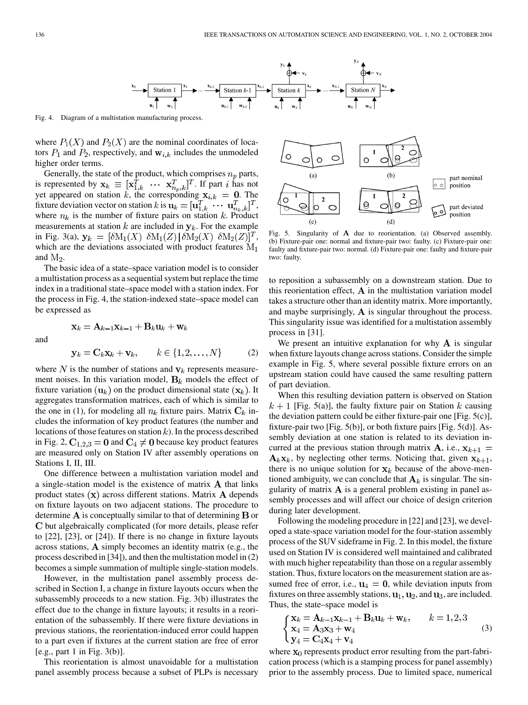

Fig. 4. Diagram of a multistation manufacturing process.

where  $P_1(X)$  and  $P_2(X)$  are the nominal coordinates of locators  $P_1$  and  $P_2$ , respectively, and  $w_{i,k}$  includes the unmodeled higher order terms.

Generally, the state of the product, which comprises  $n_p$  parts, is represented by  $\mathbf{x}_k \equiv [\mathbf{x}_{1,k}^T \cdots \mathbf{x}_{n_p,k}^T]^T$ . If part i has not yet appeared on station k, the corresponding  $x_{i,k} = 0$ . The fixture deviation vector on station k is  $\mathbf{u}_k = [\mathbf{u}_{1,k}^T \cdots \mathbf{u}_{n_k,k}^T]^T$ , where  $n_k$  is the number of fixture pairs on station  $k$ . Product measurements at station k are included in  $y_k$ . For the example in Fig. 3(a),  $y_k = [\delta M_1(X) \ \delta M_1(Z) | \delta M_2(X) \ \delta M_2(Z)]^T$ , which are the deviations associated with product features  $M_1$ and  $M<sub>2</sub>$ .

The basic idea of a state–space variation model is to consider a multistation process as a sequential system but replace the time index in a traditional state–space model with a station index. For the process in Fig. 4, the station-indexed state–space model can be expressed as

 $\mathbf{x}_k = \mathbf{A}_{k-1}\mathbf{x}_{k-1} + \mathbf{B}_k\mathbf{u}_k + \mathbf{w}_k$ 

and

$$
\mathbf{y}_k = \mathbf{C}_k \mathbf{x}_k + \mathbf{v}_k, \qquad k \in \{1, 2, \dots, N\} \tag{2}
$$

where N is the number of stations and  $v_k$  represents measurement noises. In this variation model,  $B_k$  models the effect of fixture variation  $(\mathbf{u}_k)$  on the product dimensional state  $(\mathbf{x}_k)$ . It aggregates transformation matrices, each of which is similar to the one in (1), for modeling all  $n_k$  fixture pairs. Matrix  $C_k$  includes the information of key product features (the number and locations of those features on station  $k$ ). In the process described in Fig. 2,  $C_{1,2,3} = 0$  and  $C_4 \neq 0$  because key product features are measured only on Station IV after assembly operations on Stations I, II, III.

One difference between a multistation variation model and a single-station model is the existence of matrix  $A$  that links product states  $(x)$  across different stations. Matrix  $A$  depends on fixture layouts on two adjacent stations. The procedure to determine  $\bf{A}$  is conceptually similar to that of determining  $\bf{B}$  or but algebraically complicated (for more details, please refer to [\[22](#page-11-0)], [[23](#page-11-0)], or [[24\]](#page-11-0)). If there is no change in fixture layouts across stations,  $A$  simply becomes an identity matrix (e.g., the process described in [[34\]](#page-12-0)), and then the multistation model in (2) becomes a simple summation of multiple single-station models.

However, in the multistation panel assembly process described in Section I, a change in fixture layouts occurs when the subassembly proceeds to a new station. Fig. 3(b) illustrates the effect due to the change in fixture layouts; it results in a reorientation of the subassembly. If there were fixture deviations in previous stations, the reorientation-induced error could happen to a part even if fixtures at the current station are free of error [e.g., part 1 in Fig. 3(b)].

This reorientation is almost unavoidable for a multistation panel assembly process because a subset of PLPs is necessary



Fig. 5. Singularity of A due to reorientation. (a) Observed assembly. (b) Fixture-pair one: normal and fixture-pair two: faulty. (c) Fixture-pair one: faulty and fixture-pair two: normal. (d) Fixture-pair one: faulty and fixture-pair two: faulty.

to reposition a subassembly on a downstream station. Due to this reorientation effect,  $\bf{A}$  in the multistation variation model takes a structure other than an identity matrix. More importantly, and maybe surprisingly,  $\bf{A}$  is singular throughout the process. This singularity issue was identified for a multistation assembly process in [[31](#page-12-0)].

We present an intuitive explanation for why  $\bf{A}$  is singular when fixture layouts change across stations. Consider the simple example in Fig. 5, where several possible fixture errors on an upstream station could have caused the same resulting pattern of part deviation.

When this resulting deviation pattern is observed on Station  $k + 1$  [Fig. 5(a)], the faulty fixture pair on Station k causing the deviation pattern could be either fixture-pair one [Fig. 5(c)], fixture-pair two [Fig. 5(b)], or both fixture pairs [Fig. 5(d)]. Assembly deviation at one station is related to its deviation incurred at the previous station through matrix **A**, i.e.,  $x_{k+1}$  =  $A_k$ **x**<sub>k</sub>, by neglecting other terms. Noticing that, given  $x_{k+1}$ , there is no unique solution for  $x_k$  because of the above-mentioned ambiguity, we can conclude that  $A_k$  is singular. The singularity of matrix  $\bf{A}$  is a general problem existing in panel assembly processes and will affect our choice of design criterion during later development.

Following the modeling procedure in [\[22](#page-11-0)] and [\[23\]](#page-11-0), we developed a state-space variation model for the four-station assembly process of the SUV sideframe in Fig. 2. In this model, the fixture used on Station IV is considered well maintained and calibrated with much higher repeatability than those on a regular assembly station. Thus, fixture locators on the measurement station are assumed free of error, i.e.,  $\mathbf{u}_4 = \mathbf{0}$ , while deviation inputs from fixtures on three assembly stations,  $\mathbf{u}_1$ ,  $\mathbf{u}_2$ , and  $\mathbf{u}_3$ , are included. Thus, the state–space model is

$$
\begin{cases} \mathbf{x}_{k} = \mathbf{A}_{k-1} \mathbf{x}_{k-1} + \mathbf{B}_{k} \mathbf{u}_{k} + \mathbf{w}_{k}, & k = 1, 2, 3 \\ \mathbf{x}_{4} = \mathbf{A}_{3} \mathbf{x}_{3} + \mathbf{w}_{4} \\ \mathbf{y}_{4} = \mathbf{C}_{4} \mathbf{x}_{4} + \mathbf{v}_{4} \end{cases}
$$
(3)

where  $x_0$  represents product error resulting from the part-fabrication process (which is a stamping process for panel assembly) prior to the assembly process. Due to limited space, numerical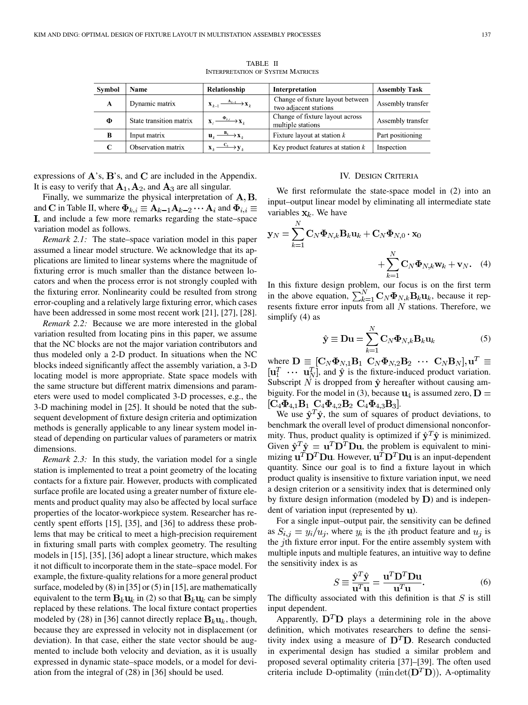Symbol Name **Relationship Interpretation Assembly Task** Change of fixture layout between  $\mathbf{X}_{k-1} \xrightarrow{\mathbf{A}_{k-1}} \mathbf{X}_{k}$ Dynamic matrix Assembly transfer two adjacent stations Change of fixture layout across  $\xrightarrow{\Phi_{k,i}} \mathbf{X}_k$ State transition matrix Assembly transfer multiple stations

Fixture layout at station  $k$ 

Key product features at station  $k$ 

 $\stackrel{\mathbf{B}_k}{\longrightarrow} \mathbf{X}_k$ 

 $\overline{\phantom{a}^{\phantom{1}}c_k\phantom{a}}$   $\rightarrow$   $\mathbf{y}_k$ 

 $\mathbf{X}_{k}$  –

TABLE II INTERPRETATION OF SYSTEM MATRICES

expressions of  $\mathbf{A}$ 's,  $\mathbf{B}$ 's, and  $\mathbf{C}$  are included in the Appendix. It is easy to verify that  $A_1$ ,  $A_2$ , and  $A_3$  are all singular.

Input matrix

Observation matrix

 $\mathbf{A}$ 

 $\Phi$ 

 $\overline{B}$ 

 $\mathbf C$ 

Finally, we summarize the physical interpretation of  $A, B$ , and C in Table II, where  $\Phi_{k,i} \equiv A_{k-1}A_{k-2}\cdots A_i$  and  $\Phi_{i,i} \equiv$ , and include a few more remarks regarding the state–space variation model as follows.

*Remark 2.1:* The state–space variation model in this paper assumed a linear model structure. We acknowledge that its applications are limited to linear systems where the magnitude of fixturing error is much smaller than the distance between locators and when the process error is not strongly coupled with the fixturing error. Nonlinearity could be resulted from strong error-coupling and a relatively large fixturing error, which cases have been addressed in some most recent work [\[21](#page-11-0)], [[27\]](#page-11-0), [\[28](#page-12-0)].

*Remark 2.2:* Because we are more interested in the global variation resulted from locating pins in this paper, we assume that the NC blocks are not the major variation contributors and thus modeled only a 2-D product. In situations when the NC blocks indeed significantly affect the assembly variation, a 3-D locating model is more appropriate. State space models with the same structure but different matrix dimensions and parameters were used to model complicated 3-D processes, e.g., the 3-D machining model in [[25\]](#page-11-0). It should be noted that the subsequent development of fixture design criteria and optimization methods is generally applicable to any linear system model instead of depending on particular values of parameters or matrix dimensions.

*Remark 2.3:* In this study, the variation model for a single station is implemented to treat a point geometry of the locating contacts for a fixture pair. However, products with complicated surface profile are located using a greater number of fixture elements and product quality may also be affected by local surface properties of the locator-workpiece system. Researcher has recently spent efforts [[15\]](#page-11-0), [\[35](#page-12-0)], and [[36\]](#page-12-0) to address these problems that may be critical to meet a high-precision requirement in fixturing small parts with complex geometry. The resulting models in [[15\]](#page-11-0), [\[35](#page-12-0)], [[36\]](#page-12-0) adopt a linear structure, which makes it not difficult to incorporate them in the state–space model. For example, the fixture-quality relations for a more general product surface, modeled by (8) in [\[35\]](#page-12-0) or (5) in [\[15](#page-11-0)], are mathematically equivalent to the term  $B_k u_k$  in (2) so that  $B_k u_k$  can be simply replaced by these relations. The local fixture contact properties modeled by (28) in [\[36](#page-12-0)] cannot directly replace  $B_k u_k$ , though, because they are expressed in velocity not in displacement (or deviation). In that case, either the state vector should be augmented to include both velocity and deviation, as it is usually expressed in dynamic state–space models, or a model for deviation from the integral of (28) in [[36\]](#page-12-0) should be used.

# IV. DESIGN CRITERIA

Part positioning

Inspection

We first reformulate the state-space model in (2) into an input–output linear model by eliminating all intermediate state variables  $x_k$ . We have

$$
\mathbf{y}_N = \sum_{k=1}^N \mathbf{C}_N \boldsymbol{\Phi}_{N,k} \mathbf{B}_k \mathbf{u}_k + \mathbf{C}_N \boldsymbol{\Phi}_{N,0} \cdot \mathbf{x}_0
$$

$$
+ \sum_{k=1}^N \mathbf{C}_N \boldsymbol{\Phi}_{N,k} \mathbf{w}_k + \mathbf{v}_N. \quad (4)
$$

In this fixture design problem, our focus is on the first term in the above equation,  $\sum_{k=1}^{N} \mathbf{C}_N \mathbf{\Phi}_{N,k} \mathbf{B}_k \mathbf{u}_k$ , because it represents fixture error inputs from all  $N$  stations. Therefore, we simplify (4) as

$$
\hat{\mathbf{y}} \equiv \mathbf{D}\mathbf{u} = \sum_{k=1}^{N} \mathbf{C}_{N} \boldsymbol{\Phi}_{N,k} \mathbf{B}_{k} \mathbf{u}_{k}
$$
 (5)

where  $\mathbf{D} \equiv [\mathbf{C}_N \mathbf{\Phi}_{N,1} \mathbf{B}_1 \ \mathbf{C}_N \mathbf{\Phi}_{N,2} \mathbf{B}_2 \ \cdots \ \mathbf{C}_N \mathbf{B}_N], \mathbf{u}^T \equiv$  $[\mathbf{u}_1^T \cdots \mathbf{u}_N^T]$ , and  $\hat{\mathbf{y}}$  is the fixture-induced product variation. Subscript N is dropped from  $\hat{y}$  hereafter without causing ambiguity. For the model in (3), because  $\mathbf{u}_4$  is assumed zero,  $\mathbf{D} =$  $[C_4\Phi_{4,1}\mathbf{B}_1 \ C_4\Phi_{4,2}\mathbf{B}_2 \ C_4\Phi_{4,3}\mathbf{B}_3].$ 

We use  $\hat{\mathbf{y}}^T \hat{\mathbf{y}}$ , the sum of squares of product deviations, to benchmark the overall level of product dimensional nonconformity. Thus, product quality is optimized if  $\hat{\mathbf{y}}^T \hat{\mathbf{y}}$  is minimized. Given  $\hat{\mathbf{y}}^T \hat{\mathbf{y}} = \mathbf{u}^T \mathbf{D}^T \mathbf{D} \mathbf{u}$ , the problem is equivalent to minimizing  $\mathbf{u}^T \mathbf{D}^T \mathbf{D} \mathbf{u}$ . However,  $\mathbf{u}^T \mathbf{D}^T \mathbf{D} \mathbf{u}$  is an input-dependent quantity. Since our goal is to find a fixture layout in which product quality is insensitive to fixture variation input, we need a design criterion or a sensitivity index that is determined only by fixture design information (modeled by  $\bf{D}$ ) and is independent of variation input (represented by **).** 

For a single input–output pair, the sensitivity can be defined as  $S_{i,j} = y_i/u_j$ , where  $y_i$  is the *i*th product feature and  $u_j$  is the  $j$ th fixture error input. For the entire assembly system with multiple inputs and multiple features, an intuitive way to define the sensitivity index is as

$$
S \equiv \frac{\hat{\mathbf{y}}^T \hat{\mathbf{y}}}{\mathbf{u}^T \mathbf{u}} = \frac{\mathbf{u}^T \mathbf{D}^T \mathbf{D} \mathbf{u}}{\mathbf{u}^T \mathbf{u}}.
$$
 (6)

The difficulty associated with this definition is that  $S$  is still input dependent.

Apparently,  $D^T D$  plays a determining role in the above definition, which motivates researchers to define the sensitivity index using a measure of  $D<sup>T</sup>D$ . Research conducted in experimental design has studied a similar problem and proposed several optimality criteria [[37\]](#page-12-0)–[\[39](#page-12-0)]. The often used criteria include D-optimality ( $\min \det(D^T D)$ ), A-optimality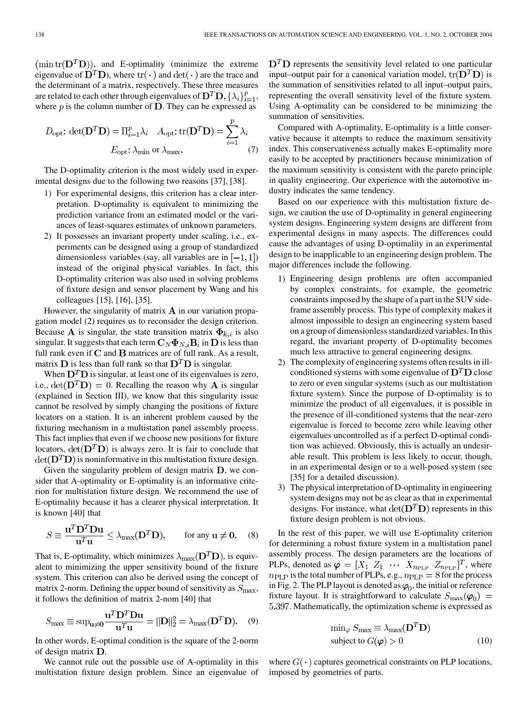$(\min tr(\mathbf{D}^T \mathbf{D}))$ , and E-optimality (minimize the extreme eigenvalue of  $D<sup>T</sup>D$ , where  $tr(\cdot)$  and  $det(\cdot)$  are the trace and the determinant of a matrix, respectively. These three measures are related to each other through eigenvalues of  $\mathbf{D}^T \mathbf{D}, \{\lambda_i\}_{i=1}^p$ , where  $p$  is the column number of  $D$ . They can be expressed as

$$
D_{\text{opt}}: \det(\mathbf{D}^T \mathbf{D}) = \Pi_{i=1}^p \lambda_i \quad A_{\text{opt}}: \text{tr}(\mathbf{D}^T \mathbf{D}) = \sum_{i=1}^p \lambda_i
$$

$$
E_{\text{opt}}: \lambda_{\text{min}} \text{ or } \lambda_{\text{max}}. \tag{7}
$$

The D-optimality criterion is the most widely used in experimental designs due to the following two reasons [\[37](#page-12-0)], [\[38\]](#page-12-0).

- 1) For experimental designs, this criterion has a clear interpretation. D-optimality is equivalent to minimizing the prediction variance from an estimated model or the variances of least-squares estimates of unknown parameters.
- 2) It possesses an invariant property under scaling, i.e., experiments can be designed using a group of standardized dimensionless variables (say, all variables are in  $[-1,1]$ ) instead of the original physical variables. In fact, this D-optimality criterion was also used in solving problems of fixture design and sensor placement by Wang and his colleagues [[15\]](#page-11-0), [[16\]](#page-11-0), [[35\]](#page-12-0).

However, the singularity of matrix  $A$  in our variation propagation model (2) requires us to reconsider the design criterion. Because A is singular, the state transition matrix  $\Phi_{k,i}$  is also singular. It suggests that each term  $C_N \Phi_{N,i} B_i$  in D is less than full rank even if  $C$  and  $B$  matrices are of full rank. As a result, matrix **D** is less than full rank so that  $D^T D$  is singular.

When  $D<sup>T</sup>D$  is singular, at least one of its eigenvalues is zero, i.e.,  $\det(\mathbf{D}^T \mathbf{D}) = 0$ . Recalling the reason why **A** is singular (explained in Section III), we know that this singularity issue cannot be resolved by simply changing the positions of fixture locators on a station. It is an inherent problem caused by the fixturing mechanism in a multistation panel assembly process. This fact implies that even if we choose new positions for fixture locators,  $\det(\mathbf{D}^T \mathbf{D})$  is always zero. It is fair to conclude that  $det(\mathbf{D}^T \mathbf{D})$  is noninformative in this multistation fixture design.

Given the singularity problem of design matrix  $D$ , we consider that A-optimality or E-optimality is an informative criterion for multistation fixture design. We recommend the use of E-optimality because it has a clearer physical interpretation. It is known [\[40](#page-12-0)] that

$$
S \equiv \frac{\mathbf{u}^T \mathbf{D}^T \mathbf{D} \mathbf{u}}{\mathbf{u}^T \mathbf{u}} \le \lambda_{\text{max}}(\mathbf{D}^T \mathbf{D}), \qquad \text{for any } \mathbf{u} \ne \mathbf{0}. \tag{8}
$$

That is, E-optimality, which minimizes  $\lambda_{\text{max}}(\mathbf{D}^T \mathbf{D})$ , is equivalent to minimizing the upper sensitivity bound of the fixture system. This criterion can also be derived using the concept of matrix 2-norm. Defining the upper bound of sensitivity as  $S_{\text{max}}$ , it follows the definition of matrix 2-nom [\[40](#page-12-0)] that

$$
S_{\text{max}} \equiv \sup_{\mathbf{u} \neq \mathbf{0}} \frac{\mathbf{u}^T \mathbf{D}^T \mathbf{D} \mathbf{u}}{\mathbf{u}^T \mathbf{u}} = ||\mathbf{D}||_2^2 = \lambda_{\text{max}}(\mathbf{D}^T \mathbf{D}). \quad (9)
$$

In other words, E-optimal condition is the square of the 2-norm of design matrix  $\mathbf{D}$ .

We cannot rule out the possible use of A-optimality in this multistation fixture design problem. Since an eigenvalue of

 $D<sup>T</sup>D$  represents the sensitivity level related to one particular input–output pair for a canonical variation model,  $tr(D^T D)$  is the summation of sensitivities related to all input–output pairs, representing the overall sensitivity level of the fixture system. Using A-optimality can be considered to be minimizing the summation of sensitivities.

Compared with A-optimality, E-optimality is a little conservative because it attempts to reduce the maximum sensitivity index. This conservativeness actually makes E-optimality more easily to be accepted by practitioners because minimization of the maximum sensitivity is consistent with the pareto principle in quality engineering. Our experience with the automotive industry indicates the same tendency.

Based on our experience with this multistation fixture design, we caution the use of D-optimality in general engineering system designs. Engineering system designs are different from experimental designs in many aspects. The differences could cause the advantages of using D-optimality in an experimental design to be inapplicable to an engineering design problem. The major differences include the following.

- 1) Engineering design problems are often accompanied by complex constraints, for example, the geometric constraints imposed by the shape of a part in the SUV sideframe assembly process. This type of complexity makes it almost impossible to design an engineering system based on a group of dimensionless standardized variables. In this regard, the invariant property of D-optimality becomes much less attractive to general engineering designs.
- 2) The complexity of engineering systems often results in illconditioned systems with some eigenvalue of  $D<sup>T</sup>D$  close to zero or even singular systems (such as our multistation fixture system). Since the purpose of D-optimality is to minimize the product of all eigenvalues, it is possible in the presence of ill-conditioned systems that the near-zero eigenvalue is forced to become zero while leaving other eigenvalues uncontrolled as if a perfect D-optimal condition was achieved. Obviously, this is actually an undesirable result. This problem is less likely to occur, though, in an experimental design or to a well-posed system (see [[35\]](#page-12-0) for a detailed discussion).
- 3) The physical interpretation of D-optimality in engineering system designs may not be as clear as that in experimental designs. For instance, what  $\det(\mathbf{D}^T \mathbf{D})$  represents in this fixture design problem is not obvious.

In the rest of this paper, we will use E-optimality criterion for determining a robust fixture system in a multistation panel assembly process. The design parameters are the locations of PLPs, denoted as  $\varphi = [X_1 \ Z_1 \ \cdots \ X_{n_{\text{PLP}}} \ Z_{n_{\text{PLP}}} ]^T$ , where  $n_{\rm PLP}$  is the total number of PLPs, e.g.,  $n_{\rm PLP} = 8$  for the process in Fig. 2. The PLP layout is denoted as  $\varphi_0$ , the initial or reference fixture layout. It is straightforward to calculate  $S_{\text{max}}(\varphi_0)$  = . Mathematically, the optimization scheme is expressed as

$$
\min_{\varphi} S_{\max} \equiv \lambda_{\max}(\mathbf{D}^T \mathbf{D})
$$
  
subject to  $G(\varphi) > 0$  (10)

where  $G(\cdot)$  captures geometrical constraints on PLP locations, imposed by geometries of parts.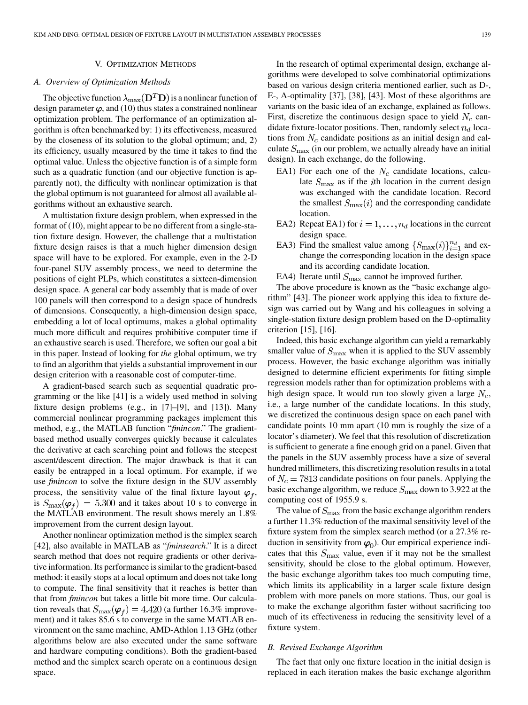# V. OPTIMIZATION METHODS

# *A. Overview of Optimization Methods*

The objective function  $\lambda_{\max}(\mathbf{D}^T \mathbf{D})$  is a nonlinear function of design parameter  $\varphi$ , and (10) thus states a constrained nonlinear optimization problem. The performance of an optimization algorithm is often benchmarked by: 1) its effectiveness, measured by the closeness of its solution to the global optimum; and, 2) its efficiency, usually measured by the time it takes to find the optimal value. Unless the objective function is of a simple form such as a quadratic function (and our objective function is apparently not), the difficulty with nonlinear optimization is that the global optimum is not guaranteed for almost all available algorithms without an exhaustive search.

A multistation fixture design problem, when expressed in the format of (10), might appear to be no different from a single-station fixture design. However, the challenge that a multistation fixture design raises is that a much higher dimension design space will have to be explored. For example, even in the 2-D four-panel SUV assembly process, we need to determine the positions of eight PLPs, which constitutes a sixteen-dimension design space. A general car body assembly that is made of over 100 panels will then correspond to a design space of hundreds of dimensions. Consequently, a high-dimension design space, embedding a lot of local optimums, makes a global optimality much more difficult and requires prohibitive computer time if an exhaustive search is used. Therefore, we soften our goal a bit in this paper. Instead of looking for *the* global optimum, we try to find an algorithm that yields a substantial improvement in our design criterion with a reasonable cost of computer-time.

A gradient-based search such as sequential quadratic programming or the like [\[41](#page-12-0)] is a widely used method in solving fixture design problems (e.g., in [[7\]](#page-11-0)–[\[9](#page-11-0)], and [[13\]](#page-11-0)). Many commercial nonlinear programming packages implement this method, e.g., the MATLAB function "*fmincon*." The gradientbased method usually converges quickly because it calculates the derivative at each searching point and follows the steepest ascent/descent direction. The major drawback is that it can easily be entrapped in a local optimum. For example, if we use *fmincon* to solve the fixture design in the SUV assembly process, the sensitivity value of the final fixture layout  $\varphi_f$ , is  $S_{\text{max}}(\varphi_f) = 5.300$  and it takes about 10 s to converge in the MATLAB environment. The result shows merely an 1.8% improvement from the current design layout.

Another nonlinear optimization method is the simplex search [\[42](#page-12-0)], also available in MATLAB as "*fminsearch*." It is a direct search method that does not require gradients or other derivative information. Its performance is similar to the gradient-based method: it easily stops at a local optimum and does not take long to compute. The final sensitivity that it reaches is better than that from *fmincon* but takes a little bit more time. Our calculation reveals that  $S_{\text{max}}(\varphi_f) = 4.420$  (a further 16.3% improvement) and it takes 85.6 s to converge in the same MATLAB environment on the same machine, AMD-Athlon 1.13 GHz (other algorithms below are also executed under the same software and hardware computing conditions). Both the gradient-based method and the simplex search operate on a continuous design space.

In the research of optimal experimental design, exchange algorithms were developed to solve combinatorial optimizations based on various design criteria mentioned earlier, such as D-, E-, A-optimality [[37\]](#page-12-0), [[38\]](#page-12-0), [[43\]](#page-12-0). Most of these algorithms are variants on the basic idea of an exchange, explained as follows. First, discretize the continuous design space to yield  $N_c$  candidate fixture-locator positions. Then, randomly select  $n_d$  locations from  $N_c$  candidate positions as an initial design and calculate  $S_{\text{max}}$  (in our problem, we actually already have an initial design). In each exchange, do the following.

- EA1) For each one of the  $N_c$  candidate locations, calculate  $S_{\text{max}}$  as if the *i*th location in the current design was exchanged with the candidate location. Record the smallest  $S_{\text{max}}(i)$  and the corresponding candidate location.
- EA2) Repeat EA1) for  $i = 1, \ldots, n_d$  locations in the current design space.
- EA3) Find the smallest value among  $\{S_{\text{max}}(i)\}_{i=1}^{n_d}$  and exchange the corresponding location in the design space and its according candidate location.
- EA4) Iterate until  $S_{\text{max}}$  cannot be improved further.

The above procedure is known as the "basic exchange algorithm" [\[43](#page-12-0)]. The pioneer work applying this idea to fixture design was carried out by Wang and his colleagues in solving a single-station fixture design problem based on the D-optimality criterion [\[15](#page-11-0)], [\[16](#page-11-0)].

Indeed, this basic exchange algorithm can yield a remarkably smaller value of  $S_{\text{max}}$  when it is applied to the SUV assembly process. However, the basic exchange algorithm was initially designed to determine efficient experiments for fitting simple regression models rather than for optimization problems with a high design space. It would run too slowly given a large  $N_c$ , i.e., a large number of the candidate locations. In this study, we discretized the continuous design space on each panel with candidate points 10 mm apart (10 mm is roughly the size of a locator's diameter). We feel that this resolution of discretization is sufficient to generate a fine enough grid on a panel. Given that the panels in the SUV assembly process have a size of several hundred millimeters, this discretizing resolution results in a total of  $N_c = 7813$  candidate positions on four panels. Applying the basic exchange algorithm, we reduce  $S_{\text{max}}$  down to 3.922 at the computing cost of 1955.9 s.

The value of  $S_{\text{max}}$  from the basic exchange algorithm renders a further 11.3% reduction of the maximal sensitivity level of the fixture system from the simplex search method (or a 27.3% reduction in sensitivity from  $\varphi_0$ ). Our empirical experience indicates that this  $S_{\text{max}}$  value, even if it may not be the smallest sensitivity, should be close to the global optimum. However, the basic exchange algorithm takes too much computing time, which limits its applicability in a larger scale fixture design problem with more panels on more stations. Thus, our goal is to make the exchange algorithm faster without sacrificing too much of its effectiveness in reducing the sensitivity level of a fixture system.

#### *B. Revised Exchange Algorithm*

The fact that only one fixture location in the initial design is replaced in each iteration makes the basic exchange algorithm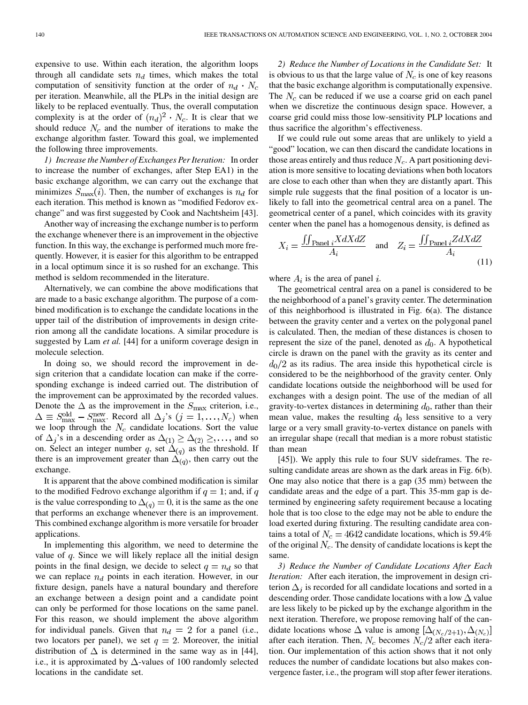expensive to use. Within each iteration, the algorithm loops through all candidate sets  $n_d$  times, which makes the total computation of sensitivity function at the order of  $n_d \cdot N_c$ per iteration. Meanwhile, all the PLPs in the initial design are likely to be replaced eventually. Thus, the overall computation complexity is at the order of  $(n_d)^2 \cdot N_c$ . It is clear that we should reduce  $N_c$  and the number of iterations to make the exchange algorithm faster. Toward this goal, we implemented the following three improvements.

*1) Increase the Number of Exchanges Per Iteration:* In order to increase the number of exchanges, after Step EA1) in the basic exchange algorithm, we can carry out the exchange that minimizes  $S_{\text{max}}(i)$ . Then, the number of exchanges is  $n_d$  for each iteration. This method is known as "modified Fedorov exchange" and was first suggested by Cook and Nachtsheim [[43\]](#page-12-0).

Another way of increasing the exchange number is to perform the exchange whenever there is an improvement in the objective function. In this way, the exchange is performed much more frequently. However, it is easier for this algorithm to be entrapped in a local optimum since it is so rushed for an exchange. This method is seldom recommended in the literature.

Alternatively, we can combine the above modifications that are made to a basic exchange algorithm. The purpose of a combined modification is to exchange the candidate locations in the upper tail of the distribution of improvements in design criterion among all the candidate locations. A similar procedure is suggested by Lam *et al.* [\[44](#page-12-0)] for a uniform coverage design in molecule selection.

In doing so, we should record the improvement in design criterion that a candidate location can make if the corresponding exchange is indeed carried out. The distribution of the improvement can be approximated by the recorded values. Denote the  $\Delta$  as the improvement in the  $S_{\text{max}}$  criterion, i.e.,  $\Delta \equiv S_{\text{max}}^{\text{old}} - S_{\text{max}}^{\text{new}}$ . Record all  $\Delta_j$ 's  $(j = 1, ..., N_c)$  when we loop through the  $N_c$  candidate locations. Sort the value of  $\Delta_i$ 's in a descending order as  $\Delta_{(1)} \geq \Delta_{(2)} \geq$ ,..., and so on. Select an integer number q, set  $\Delta(q)$  as the threshold. If there is an improvement greater than  $\Delta(q)$ , then carry out the exchange.

It is apparent that the above combined modification is similar to the modified Fedrovo exchange algorithm if  $q = 1$ ; and, if q is the value corresponding to  $\Delta_{(q)} = 0$ , it is the same as the one that performs an exchange whenever there is an improvement. This combined exchange algorithm is more versatile for broader applications.

In implementing this algorithm, we need to determine the value of  $q$ . Since we will likely replace all the initial design points in the final design, we decide to select  $q = n_d$  so that we can replace  $n_d$  points in each iteration. However, in our fixture design, panels have a natural boundary and therefore an exchange between a design point and a candidate point can only be performed for those locations on the same panel. For this reason, we should implement the above algorithm for individual panels. Given that  $n_d = 2$  for a panel (i.e., two locators per panel), we set  $q = 2$ . Moreover, the initial distribution of  $\Delta$  is determined in the same way as in [[44\]](#page-12-0), i.e., it is approximated by  $\Delta$ -values of 100 randomly selected locations in the candidate set.

*2) Reduce the Number of Locations in the Candidate Set:* It is obvious to us that the large value of  $N_c$  is one of key reasons that the basic exchange algorithm is computationally expensive. The  $N_c$  can be reduced if we use a coarse grid on each panel when we discretize the continuous design space. However, a coarse grid could miss those low-sensitivity PLP locations and thus sacrifice the algorithm's effectiveness.

If we could rule out some areas that are unlikely to yield a "good" location, we can then discard the candidate locations in those areas entirely and thus reduce  $N_c$ . A part positioning deviation is more sensitive to locating deviations when both locators are close to each other than when they are distantly apart. This simple rule suggests that the final position of a locator is unlikely to fall into the geometrical central area on a panel. The geometrical center of a panel, which coincides with its gravity center when the panel has a homogenous density, is defined as

$$
X_i = \frac{\iint_{\text{Panel }i} X dX dZ}{A_i} \quad \text{and} \quad Z_i = \frac{\iint_{\text{Panel }i} Z dX dZ}{A_i} \tag{11}
$$

where  $A_i$  is the area of panel i.

The geometrical central area on a panel is considered to be the neighborhood of a panel's gravity center. The determination of this neighborhood is illustrated in Fig. 6(a). The distance between the gravity center and a vertex on the polygonal panel is calculated. Then, the median of these distances is chosen to represent the size of the panel, denoted as  $d_0$ . A hypothetical circle is drawn on the panel with the gravity as its center and  $d_0/2$  as its radius. The area inside this hypothetical circle is considered to be the neighborhood of the gravity center. Only candidate locations outside the neighborhood will be used for exchanges with a design point. The use of the median of all gravity-to-vertex distances in determining  $d_0$ , rather than their mean value, makes the resulting  $d_0$  less sensitive to a very large or a very small gravity-to-vertex distance on panels with an irregular shape (recall that median is a more robust statistic than mean

[[45\]](#page-12-0)). We apply this rule to four SUV sideframes. The resulting candidate areas are shown as the dark areas in Fig. 6(b). One may also notice that there is a gap (35 mm) between the candidate areas and the edge of a part. This 35-mm gap is determined by engineering safety requirement because a locating hole that is too close to the edge may not be able to endure the load exerted during fixturing. The resulting candidate area contains a total of  $N_c = 4642$  candidate locations, which is 59.4% of the original  $N_c$ . The density of candidate locations is kept the same.

*3) Reduce the Number of Candidate Locations After Each Iteration:* After each iteration, the improvement in design criterion  $\Delta_i$  is recorded for all candidate locations and sorted in a descending order. Those candidate locations with a low  $\Delta$  value are less likely to be picked up by the exchange algorithm in the next iteration. Therefore, we propose removing half of the candidate locations whose  $\Delta$  value is among  $[\Delta_{(N_c/2+1)}, \Delta_{(N_c)}]$ after each iteration. Then,  $N_c$  becomes  $N_c/2$  after each iteration. Our implementation of this action shows that it not only reduces the number of candidate locations but also makes convergence faster, i.e., the program will stop after fewer iterations.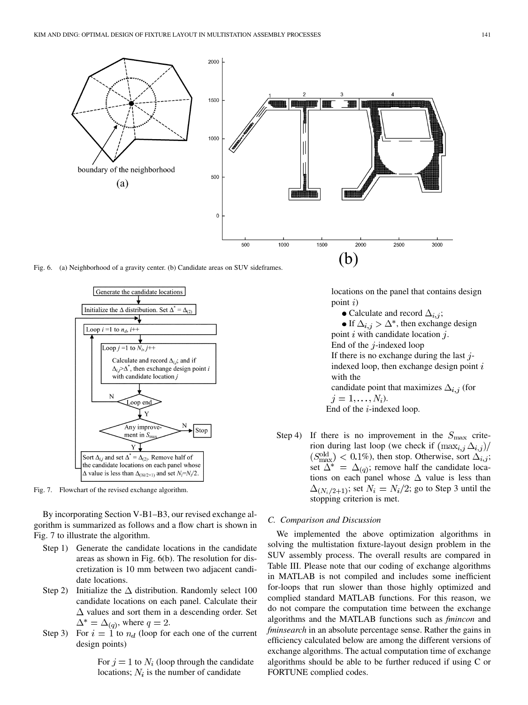

Fig. 6. (a) Neighborhood of a gravity center. (b) Candidate areas on SUV sideframes.



Fig. 7. Flowchart of the revised exchange algorithm.

By incorporating Section V-B1–B3, our revised exchange algorithm is summarized as follows and a flow chart is shown in Fig. 7 to illustrate the algorithm.

- Step 1) Generate the candidate locations in the candidate areas as shown in Fig. 6(b). The resolution for discretization is 10 mm between two adjacent candidate locations.
- Step 2) Initialize the  $\Delta$  distribution. Randomly select 100 candidate locations on each panel. Calculate their  $\Delta$  values and sort them in a descending order. Set  $\Delta^* = \Delta_{(q)}$ , where  $q = 2$ .
- Step 3) For  $i = 1$  to  $n_d$  (loop for each one of the current design points)

For  $j = 1$  to  $N_i$  (loop through the candidate locations;  $N_i$  is the number of candidate

locations on the panel that contains design point  $i)$ 

• Calculate and record  $\Delta_{i,j}$ ;

• If  $\Delta_{i,j} > \Delta^*$ , then exchange design point  $i$  with candidate location  $j$ . End of the  $i$ -indexed loop If there is no exchange during the last  $j$ indexed loop, then exchange design point  $i$ with the candidate point that maximizes  $\Delta_{i,j}$  (for  $j=1,\ldots,N_i$ ). End of the  $i$ -indexed loop.

Step 4) If there is no improvement in the  $S_{\text{max}}$  criterion during last loop (we check if  $(\max_{i,j} \Delta_{i,j})/$  $(S_{\text{max}}^{\text{old}})$  < 0.1%), then stop. Otherwise, sort  $\Delta_{i,j}$ ; set  $\Delta^* = \Delta_{(q)}$ ; remove half the candidate locations on each panel whose  $\Delta$  value is less than  $\Delta_{(N_i/2+1)}$ ; set  $N_i = N_i/2$ ; go to Step 3 until the stopping criterion is met.

# *C. Comparison and Discussion*

We implemented the above optimization algorithms in solving the multistation fixture-layout design problem in the SUV assembly process. The overall results are compared in Table III. Please note that our coding of exchange algorithms in MATLAB is not compiled and includes some inefficient for-loops that run slower than those highly optimized and complied standard MATLAB functions. For this reason, we do not compare the computation time between the exchange algorithms and the MATLAB functions such as *fmincon* and *fminsearch* in an absolute percentage sense. Rather the gains in efficiency calculated below are among the different versions of exchange algorithms. The actual computation time of exchange algorithms should be able to be further reduced if using C or FORTUNE complied codes.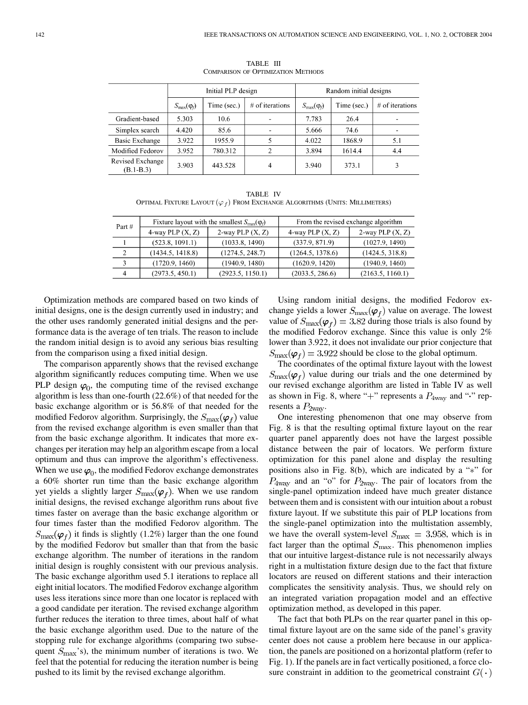|                                   |                             | Initial PLP design |                   | Random initial designs      |             |                   |  |
|-----------------------------------|-----------------------------|--------------------|-------------------|-----------------------------|-------------|-------------------|--|
|                                   | $S_{\text{max}}(\varphi_t)$ | Time (sec.)        | $#$ of iterations | $S_{\text{max}}(\varphi_f)$ | Time (sec.) | $#$ of iterations |  |
| Gradient-based                    | 5.303                       | 10.6               |                   | 7.783                       | 26.4        |                   |  |
| Simplex search                    | 4.420                       | 85.6               |                   | 5.666                       | 74.6        |                   |  |
| <b>Basic Exchange</b>             | 3.922                       | 1955.9             | 5                 | 4.022                       | 1868.9      | 5.1               |  |
| Modified Fedorov                  | 3.952                       | 780.312            | 2                 | 3.894                       | 1614.4      | 4.4               |  |
| Revised Exchange<br>$(B.1 - B.3)$ | 3.903                       | 443.528            | $\overline{4}$    | 3.940                       | 373.1       | 3                 |  |

TABLE III COMPARISON OF OPTIMIZATION METHODS

TABLE IV OPTIMAL FIXTURE LAYOUT  $(\varphi_f)$  FROM EXCHANGE ALGORITHMS (UNITS: MILLIMETERS)

| Part #         |                    | Fixture layout with the smallest $S_{\text{max}}(\varphi_f)$ | From the revised exchange algorithm |                    |  |  |
|----------------|--------------------|--------------------------------------------------------------|-------------------------------------|--------------------|--|--|
|                | 4-way PLP $(X, Z)$ | 2-way PLP $(X, Z)$                                           | 4-way PLP $(X, Z)$                  | 2-way PLP $(X, Z)$ |  |  |
|                | (523.8, 1091.1)    | (1033.8, 1490)                                               | (337.9, 871.9)                      | (1027.9, 1490)     |  |  |
| 2              | (1434.5, 1418.8)   | (1274.5, 248.7)                                              | (1264.5, 1378.6)                    | (1424.5, 318.8)    |  |  |
|                | (1720.9, 1460)     | (1940.9, 1480)                                               | (1620.9, 1420)                      | (1940.9, 1460)     |  |  |
| $\overline{4}$ | (2973.5, 450.1)    | (2923.5, 1150.1)                                             | (2033.5, 286.6)                     | (2163.5, 1160.1)   |  |  |

Optimization methods are compared based on two kinds of initial designs, one is the design currently used in industry; and the other uses randomly generated initial designs and the performance data is the average of ten trials. The reason to include the random initial design is to avoid any serious bias resulting from the comparison using a fixed initial design.

The comparison apparently shows that the revised exchange algorithm significantly reduces computing time. When we use PLP design  $\varphi_0$ , the computing time of the revised exchange algorithm is less than one-fourth (22.6%) of that needed for the basic exchange algorithm or is 56.8% of that needed for the modified Fedorov algorithm. Surprisingly, the  $S_{\text{max}}(\varphi_f)$  value from the revised exchange algorithm is even smaller than that from the basic exchange algorithm. It indicates that more exchanges per iteration may help an algorithm escape from a local optimum and thus can improve the algorithm's effectiveness. When we use  $\varphi_0$ , the modified Fedorov exchange demonstrates a 60% shorter run time than the basic exchange algorithm yet yields a slightly larger  $S_{\text{max}}(\varphi_f)$ . When we use random initial designs, the revised exchange algorithm runs about five times faster on average than the basic exchange algorithm or four times faster than the modified Fedorov algorithm. The  $S_{\text{max}}(\varphi_f)$  it finds is slightly (1.2%) larger than the one found by the modified Fedorov but smaller than that from the basic exchange algorithm. The number of iterations in the random initial design is roughly consistent with our previous analysis. The basic exchange algorithm used 5.1 iterations to replace all eight initial locators. The modified Fedorov exchange algorithm uses less iterations since more than one locator is replaced with a good candidate per iteration. The revised exchange algorithm further reduces the iteration to three times, about half of what the basic exchange algorithm used. Due to the nature of the stopping rule for exchange algorithms (comparing two subsequent  $S_{\text{max}}$ 's), the minimum number of iterations is two. We feel that the potential for reducing the iteration number is being pushed to its limit by the revised exchange algorithm.

Using random initial designs, the modified Fedorov exchange yields a lower  $S_{\text{max}}(\varphi_f)$  value on average. The lowest value of  $S_{\text{max}}(\varphi_f) = 3.82$  during those trials is also found by the modified Fedorov exchange. Since this value is only 2% lower than 3.922, it does not invalidate our prior conjecture that  $S_{\text{max}}(\varphi_f) = 3.922$  should be close to the global optimum.

The coordinates of the optimal fixture layout with the lowest  $S_{\text{max}}(\varphi_f)$  value during our trials and the one determined by our revised exchange algorithm are listed in Table IV as well as shown in Fig. 8, where "+" represents a  $P_{4\text{way}}$  and "." represents a  $P_{2\text{wav}}$ .

One interesting phenomenon that one may observe from Fig. 8 is that the resulting optimal fixture layout on the rear quarter panel apparently does not have the largest possible distance between the pair of locators. We perform fixture optimization for this panel alone and display the resulting positions also in Fig. 8(b), which are indicated by a " $*$ " for  $P_{\text{4wav}}$  and an "o" for  $P_{\text{2wav}}$ . The pair of locators from the single-panel optimization indeed have much greater distance between them and is consistent with our intuition about a robust fixture layout. If we substitute this pair of PLP locations from the single-panel optimization into the multistation assembly, we have the overall system-level  $S_{\text{max}} = 3.958$ , which is in fact larger than the optimal  $S_{\text{max}}$ . This phenomenon implies that our intuitive largest-distance rule is not necessarily always right in a multistation fixture design due to the fact that fixture locators are reused on different stations and their interaction complicates the sensitivity analysis. Thus, we should rely on an integrated variation propagation model and an effective optimization method, as developed in this paper.

The fact that both PLPs on the rear quarter panel in this optimal fixture layout are on the same side of the panel's gravity center does not cause a problem here because in our application, the panels are positioned on a horizontal platform (refer to Fig. 1). If the panels are in fact vertically positioned, a force closure constraint in addition to the geometrical constraint  $G(\cdot)$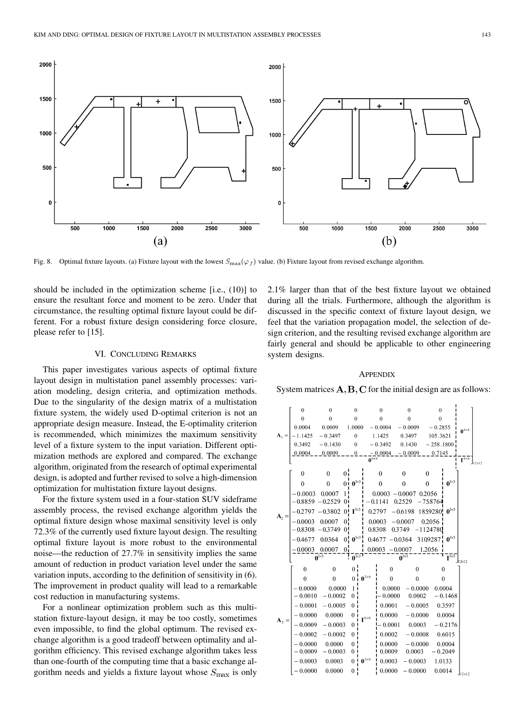

Fig. 8. Optimal fixture layouts. (a) Fixture layout with the lowest  $S_{\text{max}}(\varphi_f)$  value. (b) Fixture layout from revised exchange algorithm.

should be included in the optimization scheme [i.e., (10)] to ensure the resultant force and moment to be zero. Under that circumstance, the resulting optimal fixture layout could be different. For a robust fixture design considering force closure, please refer to [[15\]](#page-11-0).

#### VI. CONCLUDING REMARKS

This paper investigates various aspects of optimal fixture layout design in multistation panel assembly processes: variation modeling, design criteria, and optimization methods. Due to the singularity of the design matrix of a multistation fixture system, the widely used D-optimal criterion is not an appropriate design measure. Instead, the E-optimality criterion is recommended, which minimizes the maximum sensitivity level of a fixture system to the input variation. Different optimization methods are explored and compared. The exchange algorithm, originated from the research of optimal experimental design, is adopted and further revised to solve a high-dimension optimization for multistation fixture layout designs.

For the fixture system used in a four-station SUV sideframe assembly process, the revised exchange algorithm yields the optimal fixture design whose maximal sensitivity level is only 72.3% of the currently used fixture layout design. The resulting optimal fixture layout is more robust to the environmental noise—the reduction of 27.7% in sensitivity implies the same amount of reduction in product variation level under the same variation inputs, according to the definition of sensitivity in (6). The improvement in product quality will lead to a remarkable cost reduction in manufacturing systems.

For a nonlinear optimization problem such as this multistation fixture-layout design, it may be too costly, sometimes even impossible, to find the global optimum. The revised exchange algorithm is a good tradeoff between optimality and algorithm efficiency. This revised exchange algorithm takes less than one-fourth of the computing time that a basic exchange algorithm needs and yields a fixture layout whose  $S_{\text{max}}$  is only 2.1% larger than that of the best fixture layout we obtained during all the trials. Furthermore, although the algorithm is discussed in the specific context of fixture layout design, we feel that the variation propagation model, the selection of design criterion, and the resulting revised exchange algorithm are fairly general and should be applicable to other engineering system designs.

#### **APPENDIX**

System matrices  $\mathbf{A}, \mathbf{B}, \mathbf{C}$  for the initial design are as follows:

| $A_1 =$          | $\bf{0}$              | $\overline{0}$ | $\theta$              |                                     | 0                                     | $\theta$             | $\bf{0}$       |                          |                         |  |
|------------------|-----------------------|----------------|-----------------------|-------------------------------------|---------------------------------------|----------------------|----------------|--------------------------|-------------------------|--|
|                  | $\overline{0}$        | $\theta$       | $\theta$              |                                     | $\bf{0}$                              | $\theta$             | $\overline{0}$ |                          |                         |  |
|                  | 0.0004                | 0.0009         | 1.0000                |                                     | $-0.0004$<br>$-0.0009$                |                      | $-0.2855$      |                          | $\mathbf{0}^{6\times6}$ |  |
|                  | $-1.1425$             | $-0.3497$      | $\theta$              |                                     | 1.1425<br>0.3497                      |                      | 105.3621       |                          |                         |  |
|                  | 0.3492                | $-0.1430$      | $\theta$              |                                     | $-0.3492$                             | 0.1430               | $-258.1800$    |                          |                         |  |
|                  | 0.0004                | 0.0009         | 0                     |                                     | $-0.0004$                             | $-0.0009$            | 0.7145         |                          |                         |  |
| $0^{6\times 6}$  |                       |                |                       |                                     |                                       |                      |                | $\mathbf{I}^{6\times 6}$ |                         |  |
|                  | $\theta$              | $\theta$       | 0 <sup>1</sup>        |                                     | $\mathbf{0}$                          | $\theta$             | $\theta$       |                          |                         |  |
|                  | $\overline{0}$        | $\overline{0}$ | $0^{3\times3}$<br>0i  |                                     | $\bf{0}$                              | 0                    | $\mathbf{0}$   | $0^{3\times3}$           |                         |  |
|                  | $-0.0003$             | 0.0007         | 1                     |                                     | 0.0003                                | $-0.0007$            | 0.2056         |                          |                         |  |
| ${\bf A}_2$ =    | $-0.8859$             | $-0.2529$      | 01                    |                                     | $-0.1141$                             | 0.2529<br>$-75.8764$ |                |                          |                         |  |
|                  | $-0.2797$             | $-0.3802$      | $I^{3\times 3}$<br>0! |                                     | 0.2797                                | $-0.6198$            | 1859280        | $0^{3\times 3}$          |                         |  |
|                  | $-0.0003$             | 0.0007         | 0:                    |                                     | $-0.0007$<br>0.0003<br>0.2056         |                      |                |                          |                         |  |
|                  | $-0.8308$             | $-0.3749$      | 0!                    |                                     | 0.8308<br>0.3749<br>$-1124780$        |                      |                |                          |                         |  |
|                  | $-0.4677$             | 0.0364         | 0!                    | $0^{3\times3}$                      | 0.4677                                | $-0.0364$            | 3109287        | $0^{3\times 3}$          |                         |  |
|                  | $-0.0003$             | 0.0007         | 0i                    |                                     | 0.0003                                | $-0.0007$            | 1.2056         |                          |                         |  |
|                  | $\vec{0^{3\times 3}}$ |                |                       | $\mathbf{0}^{\overline{3}\times 3}$ | $\vec{0}^{3\overline{\triangleleft}}$ |                      |                | $I^{3\times 3}$          | 412×12                  |  |
|                  | $\bf{0}$              | $\bf{0}$       | $\bf{0}$              |                                     | $\mathbf{0}$                          | $\theta$             | $\mathbf{0}$   |                          |                         |  |
|                  | $\theta$              | $\bf{0}$       | $\theta$              | $\mathbf{0}^{3\times 6}$            | $\theta$                              | $\theta$             | $\theta$       |                          |                         |  |
|                  | 0.0000                | 0.0000         | 1                     |                                     | 0.0000                                | $-0.0000$            |                | 0.0004                   |                         |  |
|                  | $-0.0010$             | $-0.0002$      | $\mathbf{0}$          |                                     | 0.0000                                | 0.0002               |                | $-0.1468$                |                         |  |
|                  | $-0.0001$             | $-0.0005$      | $\bf{0}$              |                                     | 0.0001                                | $-0.0005$            |                | 0.3597                   |                         |  |
|                  | $-0.0000$             | 0.0000         | $\bf{0}$              | $I^{6\times 6}$                     | 0.0000                                | $-0.0000$            |                | 0.0004                   |                         |  |
| $\mathbf{A}_3 =$ | $-0.0009$             | $-0.0003$      | $\theta$              |                                     | $-0.0001$                             | 0.0003               |                | $-0.2176$                |                         |  |
|                  | $-0.0002$             | $-0.0002$      | $\mathbf{0}$          |                                     | 0.0002                                | $-0.0008$            |                | 0.6015                   |                         |  |
|                  | $-0.0000$             | 0.0000         | $\mathbf{0}$          |                                     | 0.0000                                | $-0.0000$            |                | 0.0004                   |                         |  |
|                  | $-0.0009$             | $-0.0003$      | $\bf{0}$              |                                     | 0.0009                                | 0.0003               |                | $-0.2049$                |                         |  |
|                  | $-0.0003$             | 0.0003         | $\bf{0}$              | $0^{3\times 6}$                     | 0.0003                                | $-0.0003$            |                | 1.0133                   |                         |  |
|                  | $-0.0000$             | 0.0000         | $\overline{0}$        |                                     | 0.0000                                | $-0.0000$            | 0.0014         |                          |                         |  |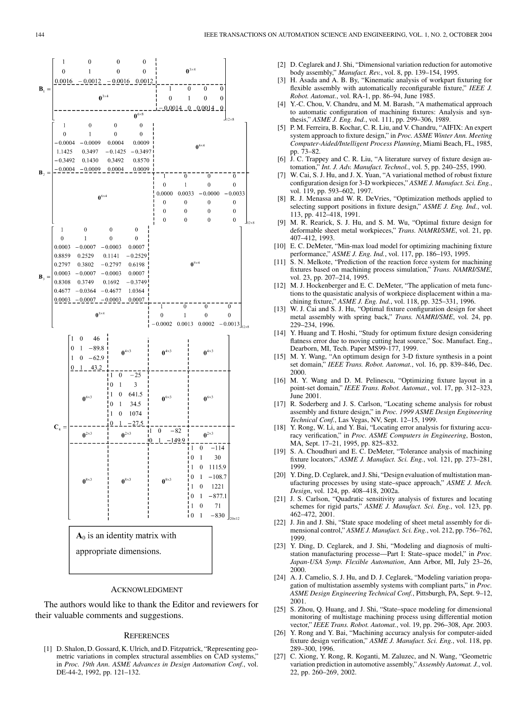<span id="page-11-0"></span>

### ACKNOWLEDGMENT

The authors would like to thank the Editor and reviewers for their valuable comments and suggestions.

#### **REFERENCES**

[1] D. Shalon, D. Gossard, K. Ulrich, and D. Fitzpatrick, "Representing geometric variations in complex structural assemblies on CAD systems," in *Proc. 19th Ann. ASME Advances in Design Automation Conf.*, vol. DE-44-2, 1992, pp. 121–132.

- [2] D. Ceglarek and J. Shi, "Dimensional variation reduction for automotive body assembly," *Manufact. Rev.*, vol. 8, pp. 139–154, 1995.
- [3] H. Asada and A. B. By, "Kinematic analysis of workpart fixturing for flexible assembly with automatically reconfigurable fixture," *IEEE J. Robot. Automat.*, vol. RA-1, pp. 86–94, June 1985.
- [4] Y.-C. Chou, V. Chandru, and M. M. Barash, "A mathematical approach to automatic configuration of machining fixtures: Analysis and synthesis," *ASME J. Eng. Ind.*, vol. 111, pp. 299–306, 1989.
- [5] P. M. Ferreira, B. Kochar, C. R. Liu, and V. Chandru, "AIFIX: An expert system approach to fixture design," in *Proc. ASME Winter Ann. Meeting Computer-Aided/Intelligent Process Planning*, Miami Beach, FL, 1985, pp. 73–82.
- [6] J. C. Trappey and C. R. Liu, "A literature survey of fixture design automation," *Int. J. Adv. Manufact. Technol.*, vol. 5, pp. 240–255, 1990.
- W. Cai, S. J. Hu, and J. X. Yuan, "A variational method of robust fixture configuration design for 3-D workpieces," *ASME J. Manufact. Sci. Eng.*, vol. 119, pp. 593–602, 1997.
- [8] R. J. Menassa and W. R. DeVries, "Optimization methods applied to selecting support positions in fixture design," *ASME J. Eng. Ind.*, vol. 113, pp. 412–418, 1991.
- M. R. Rearick, S. J. Hu, and S. M. Wu, "Optimal fixture design for deformable sheet metal workpieces," *Trans. NAMRI/SME*, vol. 21, pp. 407–412, 1993.
- [10] E. C. DeMeter, "Min-max load model for optimizing machining fixture performance," *ASME J. Eng. Ind.*, vol. 117, pp. 186–193, 1995.
- [11] S. N. Melkote, "Prediction of the reaction force system for machining fixtures based on machining process simulation," *Trans. NAMRI/SME*, vol. 23, pp. 207–214, 1995.
- [12] M. J. Hockenberger and E. C. DeMeter, "The application of meta functions to the quasistatic analysis of workpiece displacement within a machining fixture," *ASME J. Eng. Ind.*, vol. 118, pp. 325–331, 1996.
- [13] W. J. Cai and S. J. Hu, "Optimal fixture configuration design for sheet metal assembly with spring back," *Trans. NAMRI/SME*, vol. 24, pp. 229–234, 1996.
- [14] Y. Huang and T. Hoshi, "Study for optimum fixture design considering flatness error due to moving cutting heat source," Soc. Manufact. Eng., Dearborn, MI, Tech. Paper MS99-177, 1999.
- [15] M. Y. Wang, "An optimum design for 3-D fixture synthesis in a point set domain," *IEEE Trans. Robot. Automat.*, vol. 16, pp. 839–846, Dec. 2000.
- [16] M. Y. Wang and D. M. Pelinescu, "Optimizing fixture layout in a point-set domain," *IEEE Trans. Robot. Automat.*, vol. 17, pp. 312–323, June 2001.
- [17] R. Soderberg and J. S. Carlson, "Locating scheme analysis for robust assembly and fixture design," in *Proc. 1999 ASME Design Engineering Technical Conf.*, Las Vegas, NV, Sept. 12–15, 1999.
- [18] Y. Rong, W. Li, and Y. Bai, "Locating error analysis for fixturing accuracy verification," in *Proc. ASME Computers in Engineering*, Boston, MA, Sept. 17–21, 1995, pp. 825–832.
- [19] S. A. Choudhuri and E. C. DeMeter, "Tolerance analysis of machining fixture locators," *ASME J. Manufact. Sci. Eng.*, vol. 121, pp. 273–281, 1999.
- [20] Y. Ding, D. Ceglarek, and J. Shi, "Design evaluation of multistation manufacturing processes by using state–space approach," *ASME J. Mech. Design*, vol. 124, pp. 408–418, 2002a.
- [21] J. S. Carlson, "Quadratic sensitivity analysis of fixtures and locating schemes for rigid parts," *ASME J. Manufact. Sci. Eng.*, vol. 123, pp. 462–472, 2001.
- [22] J. Jin and J. Shi, "State space modeling of sheet metal assembly for dimensional control," *ASME J. Manufact. Sci. Eng.*, vol. 212, pp. 756–762, 1999.
- [23] Y. Ding, D. Ceglarek, and J. Shi, "Modeling and diagnosis of multistation manufacturing processe—Part I: State–space model," in *Proc. Japan-USA Symp. Flexible Automation*, Ann Arbor, MI, July 23–26, 2000.
- [24] A. J. Camelio, S. J. Hu, and D. J. Ceglarek, "Modeling variation propagation of multistation assembly systems with compliant parts," in *Proc. ASME Design Engineering Technical Conf.*, Pittsburgh, PA, Sept. 9–12, 2001.
- [25] S. Zhou, Q. Huang, and J. Shi, "State–space modeling for dimensional monitoring of multistage machining process using differential motion vector," *IEEE Trans. Robot. Automat.*, vol. 19, pp. 296–308, Apr. 2003.
- [26] Y. Rong and Y. Bai, "Machining accuracy analysis for computer-aided fixture design verification," *ASME J. Manufact. Sci. Eng.*, vol. 118, pp. 289–300, 1996.
- [27] C. Xiong, Y. Rong, R. Koganti, M. Zaluzec, and N. Wang, "Geometric variation prediction in automotive assembly," *Assembly Automat. J.*, vol. 22, pp. 260–269, 2002.